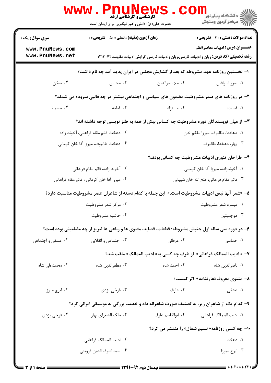| <b>WWW</b>                                  | <b>کارشناسی و کارشناسی ارشد</b><br>حضرت علی(ع): دانش راهبر نیکویی برای ایمان است                    |                                                                                              | ڪ دانشڪاه پيا <sub>م</sub> نور<br><mark>√</mark> مرڪز آزمون وسنڊش |  |
|---------------------------------------------|-----------------------------------------------------------------------------------------------------|----------------------------------------------------------------------------------------------|-------------------------------------------------------------------|--|
| <b>سری سوال :</b> یک ۱                      | <b>زمان آزمون (دقیقه) : تستی : 50 ٪ تشریحی : 0</b>                                                  |                                                                                              | <b>تعداد سوالات : تستي : 30 ٪ تشريحي : 0</b>                      |  |
| www.PnuNews.com<br>www.PnuNews.net          |                                                                                                     | <b>رشته تحصیلی/کد درس:</b> زبان و ادبیات فارسی،زبان وادبیات فارسی گرایش ادبیات مقاومت۱۲۱۳۰۴۲ | <b>عنـــوان درس:</b> ادبیات معاصر انظم                            |  |
|                                             | ا– نخستین روزنامه عهد مشروطه که بعد از گشایش مجلس در ایران پدید آمد چه نام داشت؟                    |                                                                                              |                                                                   |  |
| ۰۴ سخن                                      | ۰۳ مجلس                                                                                             | ۰۲ ملا نصرالدين                                                                              | ۰۱ صور اسرافیل                                                    |  |
|                                             | ۲- در روزنامه های صدر مشروطیت مضمون های سیاسی و اجتماعی بیشتر در چه قالبی سروده می شدند؟            |                                                                                              |                                                                   |  |
| ۰۴ مسمط                                     | ۰۳ قطعه                                                                                             | ۰۲ مستزاد                                                                                    | ۰۱ قصیده                                                          |  |
|                                             | ۳- از میان نویسندگان دوره مشروطیت چه کسانی بیش از همه به طنز نویسی توجه داشته اند؟                  |                                                                                              |                                                                   |  |
| ۰۲ دهخدا، قائم مقام فراهانی، آخوند زاده     |                                                                                                     |                                                                                              | ٠١. دهخدا، طالبوف، ميرزا ملكم خان                                 |  |
| ۰۴ دهخدا، طالبوف، میرزا آقا خان کرمانی      |                                                                                                     | ۰۳ بهار، دهخدا، طالبوف                                                                       |                                                                   |  |
|                                             |                                                                                                     |                                                                                              | ۴- طراحان تئوری ادبیات مشروطیت چه کسانی بودند؟                    |  |
| ۲.  آخوند زاده، قائم مقام فراهانی           |                                                                                                     | ۰۱ آخوندزاده، میرزا آقا خان کرمانی                                                           |                                                                   |  |
| ۰۴ میرزا آقا خان کرمانی ، قائم مقام فراهانی |                                                                                                     | ۰۳ قائم مقام فراهاني، فتح الله خان شيباني                                                    |                                                                   |  |
|                                             | ۵–  «شعر آنها نبض ادبیات مشروطیت است.»  این جمله با کدام دسته از شاعران عصر مشروطیت مناسبت دارد؟    |                                                                                              |                                                                   |  |
|                                             | ۰۲ مرکز شعر مشروطیت                                                                                 | ۰۱ میسره شعر مشروطیت                                                                         |                                                                   |  |
|                                             | ۰۴ حاشیه مشروطیت                                                                                    |                                                                                              | ۰۳ ذوجنبتين                                                       |  |
|                                             | ۶- در دوره سی ساله اول جنبش مشروطه؛ قطعات، قصاید، مثنوی ها و رباعی ها لبریز از چه مضامینی بوده است؟ |                                                                                              |                                                                   |  |
| ۰۴ عشقی و اجتماعی                           | ۰۳ اجتماعی و انقلابی                                                                                | ۰۲ عرفانی                                                                                    | ۰۱ حماسی                                                          |  |
|                                             |                                                                                                     | ۷- « ادیب الممالک فراهانی»  از طرف چه کسی به« ادیب الممالک» ملقب شد؟                         |                                                                   |  |
| ۰۴ محمدعلی شاه                              | ۰۳ مظفرالدین شاه                                                                                    | ۰۲ احمد شاه                                                                                  | ٠١ ناصرالدين شاه                                                  |  |
|                                             |                                                                                                     |                                                                                              | ۸- مثنوی معروف«عارفنامه» اثر کیست؟                                |  |
| ۰۴ ايرج ميرزا                               | ۰۳ فرخی یزدی                                                                                        | ۰۲ عارف                                                                                      | ۱. عشقی                                                           |  |
|                                             | ۹– کدام یک از شاعران زیر، به تصنیف صورت شاعرانه داد و خدمت بزرگی به موسیقی ایرانی کرد؟              |                                                                                              |                                                                   |  |
| ۰۴ فرخی یزدی                                | ۰۳ ملک الشعرای بهار                                                                                 | ٠٢ ابوالقاسم عارف                                                                            | ٠١. اديب الممالك فراهاني                                          |  |
|                                             |                                                                                                     |                                                                                              | <b>۱۰- چه کسی روزنامه« نسیم شمال» را منتشر می کرد؟</b>            |  |
|                                             | ٢. اديب الممالك فراهاني                                                                             |                                                                                              | ۰۱ دهخدا                                                          |  |
|                                             | ۰۴ سيد اشرف الدين قزويني                                                                            |                                                                                              | ۰۳ ايرج ميرزا                                                     |  |
|                                             |                                                                                                     |                                                                                              |                                                                   |  |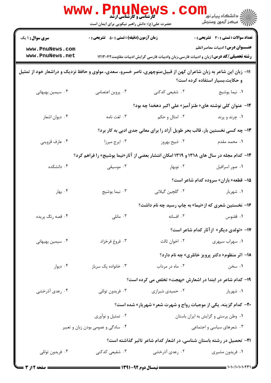|                                                                                                                  | www.Pnul<br><b>کارشناسی و کارشناسی ارشد</b><br>حضرت علی(ع): دانش راهبر نیکویی برای ایمان است |                 |                                                                                                                                                                                                                                                                                                                                                                                                                       |
|------------------------------------------------------------------------------------------------------------------|----------------------------------------------------------------------------------------------|-----------------|-----------------------------------------------------------------------------------------------------------------------------------------------------------------------------------------------------------------------------------------------------------------------------------------------------------------------------------------------------------------------------------------------------------------------|
| <b>سری سوال : ۱ یک</b>                                                                                           | <b>زمان آزمون (دقیقه) : تستی : 50 ٪ تشریحی : 0</b>                                           |                 | <b>تعداد سوالات : تستی : 30 - تشریحی : 0</b>                                                                                                                                                                                                                                                                                                                                                                          |
| www.PnuNews.com<br>www.PnuNews.net                                                                               |                                                                                              |                 | <b>عنـــوان درس:</b> ادبیات معاصر انظم<br><b>رشته تحصیلی/کد درس:</b> زبان و ادبیات فارسی،زبان وادبیات فارسی گرایش ادبیات مقاومت۱۲۱۳۰۴۲                                                                                                                                                                                                                                                                                |
| 11– زبان این شاعر به زبان شاعران کهن از قبیل:منوچهری، ناصر خسرو، سعدی، مولوی و حافظ نزدیک و دراشعار خود از تمثیل |                                                                                              |                 | و حکایت،بسیار استفاده کرده است؟                                                                                                                                                                                                                                                                                                                                                                                       |
| ۰۴ سیمین بهبهانی                                                                                                 | ۰۳ پروین اعتصامی                                                                             | ۲. شفیعی کدکنی  | ٠١ نيما يوشيج                                                                                                                                                                                                                                                                                                                                                                                                         |
|                                                                                                                  |                                                                                              |                 | ۱۲– عنوان کلی نوشته های« طنز آمیز» علی اکبر دهخدا چه بود؟                                                                                                                                                                                                                                                                                                                                                             |
| ۰۴ ديوان اشعار                                                                                                   | ۰۳ لغت نامه                                                                                  | ۰۲ امثال و حکم  | ۰۱ چرند و پرند                                                                                                                                                                                                                                                                                                                                                                                                        |
|                                                                                                                  |                                                                                              |                 | ۱۳- چه کسی نخستین بار، قالب بحر طویل آزاد را برای معانی جدی ادبی به کار برد؟                                                                                                                                                                                                                                                                                                                                          |
| ۰۴ عارف قزويني                                                                                                   | ۰۳ ایرج میرزا                                                                                | ۰۲ ذبیح بهروز   | 1. محمد مقدم                                                                                                                                                                                                                                                                                                                                                                                                          |
|                                                                                                                  |                                                                                              |                 | ۱۴- کدام مجله در سال های ۱۳۱۸ و ۱۳۱۹ امکان انتشار بعضی از آثار«نیما یوشیج» را فراهم کرد؟                                                                                                                                                                                                                                                                                                                              |
| ۰۴ دانشکده                                                                                                       | ۰۳ موسیقی                                                                                    | ۰۲ نوبهار       | ٠١ صور اسرافيل                                                                                                                                                                                                                                                                                                                                                                                                        |
|                                                                                                                  |                                                                                              |                 | <b>۱۵- قطعه« باران» سروده کدام شاعر است؟</b>                                                                                                                                                                                                                                                                                                                                                                          |
| ۰۴ بهار                                                                                                          | ۰۳ نیما یوشیج                                                                                | ۰۲ گلچين گيلاني | ۰۱ شهریار                                                                                                                                                                                                                                                                                                                                                                                                             |
|                                                                                                                  |                                                                                              |                 | ۱۶- نخستین شعری که از«نیما» به چاپ رسید چه نام داشت؟                                                                                                                                                                                                                                                                                                                                                                  |
| ۰۴ قصه رنگ پريده                                                                                                 | ۰۳ مانلی $\cdot$                                                                             | ٠٢ افسانه       | ٠١ ققنوس                                                                                                                                                                                                                                                                                                                                                                                                              |
|                                                                                                                  |                                                                                              |                 | ۱۷– «تولدی دیگر» ازآثار کدام شاعر است؟                                                                                                                                                                                                                                                                                                                                                                                |
| ۰۴ سیمین بهبهانی                                                                                                 | ۰۳ فروغ فرخزاد                                                                               | ۰۲ اخوان ثالث   | ۰۱ سهراب سپهري                                                                                                                                                                                                                                                                                                                                                                                                        |
|                                                                                                                  |                                                                                              |                 | <b>۱۸- اثر منظوم« دکتر پرویز خانلری» چه نام دارد؟</b>                                                                                                                                                                                                                                                                                                                                                                 |
| ۰۴ دیوار                                                                                                         | ۰۳ خانواده یک سرباز                                                                          | ۰۲ ماه در مرداب | ۰۱ سخن                                                                                                                                                                                                                                                                                                                                                                                                                |
|                                                                                                                  |                                                                                              |                 | ۱۹- کدام شاعر در ابتدا در اشعارش «بهجت» تخلص می کرده است؟                                                                                                                                                                                                                                                                                                                                                             |
| ۰۴ رعدی آذرخشی                                                                                                   | ۰۳ فريدون توللي                                                                              | ۰۲ حمیدی شیرازی | ۰۱ شهریار                                                                                                                                                                                                                                                                                                                                                                                                             |
|                                                                                                                  |                                                                                              |                 | <b>۰۲</b> - کدام گزینه، یکی از موجبات رواج و شهرت شعر« شهریار» شده است؟                                                                                                                                                                                                                                                                                                                                               |
|                                                                                                                  | ۰۲ تمثیل و نوآوری                                                                            |                 | ٠١ وطن پرستي و گرايش به ايران باستان                                                                                                                                                                                                                                                                                                                                                                                  |
|                                                                                                                  | ۰۴ سادگی و عمومی بودن زبان و تعبیر                                                           |                 | ۰۳ شعرهای سیاسی و اجتماعی                                                                                                                                                                                                                                                                                                                                                                                             |
|                                                                                                                  |                                                                                              |                 | <b>۲۱</b> - تحصیل در رشته باستان شناسی، در اشعار کدام شاعر تاثیر گذاشته است؟                                                                                                                                                                                                                                                                                                                                          |
| ۰۴ فريدون توللي                                                                                                  | ۰۳ شفیعی کدکنی                                                                               | ۰۲ رعدی آذرخشی  | ۰۱ فریدون مشیری                                                                                                                                                                                                                                                                                                                                                                                                       |
| <b>: صفحه 2 از 3 =</b>                                                                                           |                                                                                              |                 | $\frac{1}{1-\frac{1}{1-\frac{1}{1-\frac{1}{1-\frac{1}{1-\frac{1}{1-\frac{1}{1-\frac{1}{1-\frac{1}{1-\frac{1}{1-\frac{1}{1-\frac{1}{1-\frac{1}{1-\frac{1}{1-\frac{1}{1-\frac{1}{1-\frac{1}{1-\frac{1}{1-\frac{1}{1-\frac{1}{1-\frac{1}{1-\frac{1}{1-\frac{1}{1-\frac{1}{1-\frac{1}{1-\frac{1}{1-\frac{1}{1-\frac{1}{1-\frac{1}{1-\frac{1}{1-\frac{1}{1-\frac{1}{1-\frac{1}{1-\frac{1}{1-\frac{1}{1-\frac{1}{1-\frac{1$ |